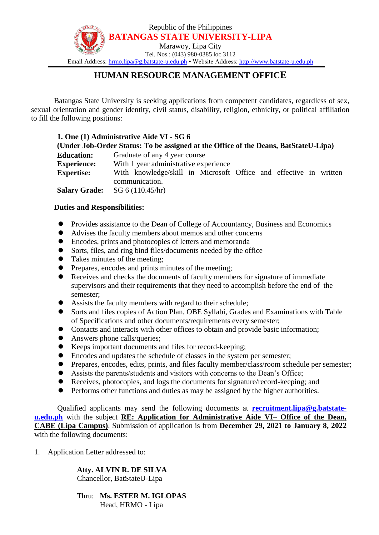

# **HUMAN RESOURCE MANAGEMENT OFFICE**

Batangas State University is seeking applications from competent candidates, regardless of sex, sexual orientation and gender identity, civil status, disability, religion, ethnicity, or political affiliation to fill the following positions:

| 1. One (1) Administrative Aide VI - SG 6<br>(Under Job-Order Status: To be assigned at the Office of the Deans, BatStateU-Lipa) |                                                                   |
|---------------------------------------------------------------------------------------------------------------------------------|-------------------------------------------------------------------|
|                                                                                                                                 |                                                                   |
| <b>Education:</b>                                                                                                               | Graduate of any 4 year course                                     |
| <b>Experience:</b>                                                                                                              | With 1 year administrative experience                             |
| <b>Expertise:</b>                                                                                                               | With knowledge/skill in Microsoft Office and effective in written |
|                                                                                                                                 | communication.                                                    |
| <b>Salary Grade:</b>                                                                                                            | SG 6(110.45/hr)                                                   |

### **Duties and Responsibilities:**

- Provides assistance to the Dean of College of Accountancy, Business and Economics
- Advises the faculty members about memos and other concerns
- Encodes, prints and photocopies of letters and memoranda
- Sorts, files, and ring bind files/documents needed by the office
- Takes minutes of the meeting;
- Prepares, encodes and prints minutes of the meeting;
- Receives and checks the documents of faculty members for signature of immediate supervisors and their requirements that they need to accomplish before the end of the semester;
- Assists the faculty members with regard to their schedule;
- Sorts and files copies of Action Plan, OBE Syllabi, Grades and Examinations with Table of Specifications and other documents/requirements every semester;
- Contacts and interacts with other offices to obtain and provide basic information;
- Answers phone calls/queries;
- Keeps important documents and files for record-keeping;
- Encodes and updates the schedule of classes in the system per semester;
- Prepares, encodes, edits, prints, and files faculty member/class/room schedule per semester;
- Assists the parents/students and visitors with concerns to the Dean's Office;
- Receives, photocopies, and logs the documents for signature/record-keeping; and
- Performs other functions and duties as may be assigned by the higher authorities.

Qualified applicants may send the following documents at **[recruitment.lipa@g.batstate](mailto:recruitment.lipa@g.batstate-u.edu.ph)[u.edu.ph](mailto:recruitment.lipa@g.batstate-u.edu.ph)** with the subject **RE: Application for Administrative Aide VI– Office of the Dean, CABE (Lipa Campus)**. Submission of application is from **December 29, 2021 to January 8, 2022**  with the following documents:

1. Application Letter addressed to:

### **Atty. ALVIN R. DE SILVA**

Chancellor, BatStateU-Lipa

#### Thru: **Ms. ESTER M. IGLOPAS** Head, HRMO - Lipa